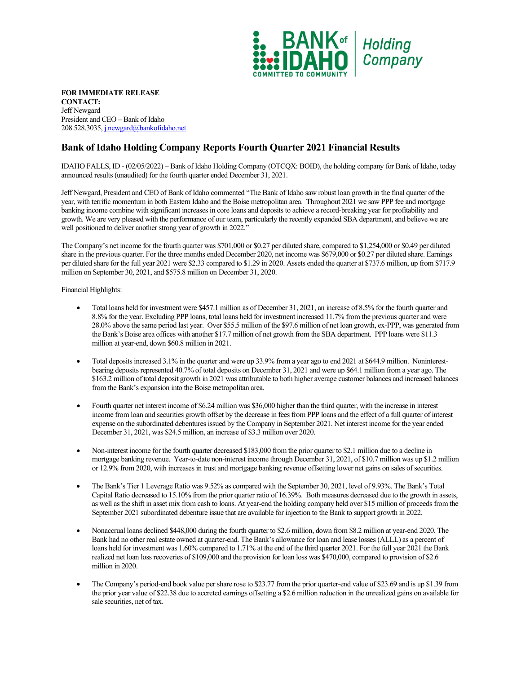

**FOR IMMEDIATE RELEASE CONTACT:**  Jeff Newgard President and CEO – Bank of Idaho 208.528.3035[, j.newgard@bankofidaho.net](mailto:j.newgard@bankofidaho.net)

## **Bank of Idaho Holding Company Reports Fourth Quarter 2021 Financial Results**

IDAHO FALLS, ID - (02/05/2022) – Bank of Idaho Holding Company (OTCQX: BOID), the holding company for Bank of Idaho, today announced results (unaudited) for the fourth quarter ended December 31, 2021.

Jeff Newgard, President and CEO of Bank of Idaho commented "The Bank of Idaho saw robust loan growth in the final quarter of the year, with terrific momentum in both Eastern Idaho and the Boise metropolitan area. Throughout 2021 we saw PPP fee and mortgage banking income combine with significant increases in core loans and deposits to achieve a record-breaking year for profitability and growth. We are very pleased with the performance of our team, particularly the recently expanded SBA department, and believe we are well positioned to deliver another strong year of growth in 2022."

The Company's net income for the fourth quarter was \$701,000 or \$0.27 per diluted share, compared to \$1,254,000 or \$0.49 per diluted share in the previous quarter. For the three months ended December 2020, net income was \$679,000 or \$0.27 per diluted share. Earnings per diluted share for the full year 2021 were \$2.33 compared to \$1.29 in 2020. Assets ended the quarter at \$737.6 million, up from \$717.9 million on September 30, 2021, and \$575.8 million on December 31, 2020.

Financial Highlights:

- Total loans held for investment were \$457.1 million as of December 31, 2021, an increase of 8.5% for the fourth quarter and 8.8% for the year. Excluding PPP loans, total loans held for investment increased 11.7% from the previous quarter and were 28.0% above the same period last year. Over \$55.5 million of the \$97.6 million of net loan growth, ex-PPP, was generated from the Bank's Boise area offices with another \$17.7 million of net growth from the SBA department. PPP loans were \$11.3 million at year-end, down \$60.8 million in 2021.
- Total deposits increased 3.1% in the quarter and were up 33.9% from a year ago to end 2021 at \$644.9 million. Noninterestbearing deposits represented 40.7% of total deposits on December 31, 2021 and were up \$64.1 million from a year ago. The \$163.2 million of total deposit growth in 2021 was attributable to both higher average customer balances and increased balances from the Bank's expansion into the Boise metropolitan area.
- Fourth quarter net interest income of \$6.24 million was \$36,000 higher than the third quarter, with the increase in interest income from loan and securities growth offset by the decrease in fees from PPP loans and the effect of a full quarter of interest expense on the subordinated debentures issued by the Company in September 2021. Net interest income for the year ended December 31, 2021, was \$24.5 million, an increase of \$3.3 million over 2020.
- Non-interest income for the fourth quarter decreased \$183,000 from the prior quarter to \$2.1 million due to a decline in mortgage banking revenue. Year-to-date non-interest income through December 31, 2021, of \$10.7 million was up \$1.2 million or 12.9% from 2020, with increases in trust and mortgage banking revenue offsetting lower net gains on sales of securities.
- The Bank's Tier 1 Leverage Ratio was 9.52% as compared with the September 30, 2021, level of 9.93%. The Bank's Total Capital Ratio decreased to 15.10% from the prior quarter ratio of 16.39%. Both measures decreased due to the growth in assets, as well as the shift in asset mix from cash to loans. At year-end the holding company held over \$15 million of proceeds from the September 2021 subordinated debenture issue that are available for injection to the Bank to support growth in 2022.
- Nonaccrual loans declined \$448,000 during the fourth quarter to \$2.6 million, down from \$8.2 million at year-end 2020. The Bank had no other real estate owned at quarter-end. The Bank's allowance for loan and lease losses (ALLL) as a percent of loans held for investment was 1.60% compared to 1.71% at the end of the third quarter 2021. For the full year 2021 the Bank realized net loan loss recoveries of \$109,000 and the provision for loan loss was \$470,000, compared to provision of \$2.6 million in 2020.
- The Company's period-end book value per share rose to \$23.77 from the prior quarter-end value of \$23.69 and is up \$1.39 from the prior year value of \$22.38 due to accreted earnings offsetting a \$2.6 million reduction in the unrealized gains on available for sale securities, net of tax.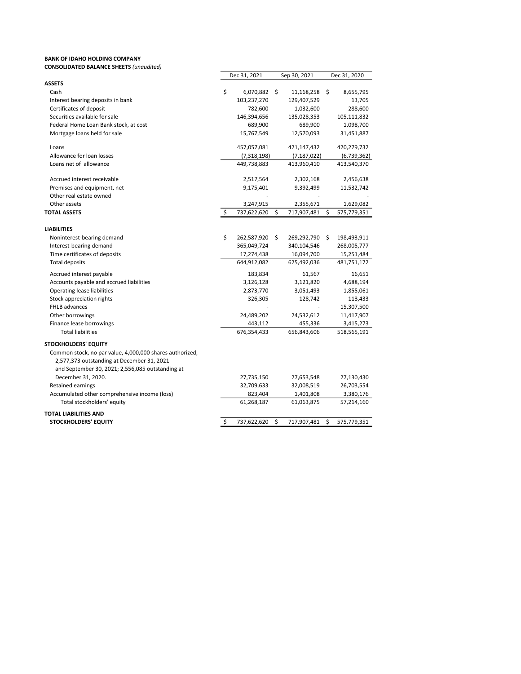## BANK OF IDAHO HOLDING COMPANY CONSOLIDATED BALANCE SHEETS (unaudited)

| <b>CONSOLIDATED BALANCE SHEETS (unaudited)</b>                                                                                                             |                    |    |               |      |              |
|------------------------------------------------------------------------------------------------------------------------------------------------------------|--------------------|----|---------------|------|--------------|
|                                                                                                                                                            | Dec 31, 2021       |    | Sep 30, 2021  |      | Dec 31, 2020 |
| <b>ASSETS</b>                                                                                                                                              |                    |    |               |      |              |
| Cash                                                                                                                                                       | \$<br>6,070,882 \$ |    | 11,168,258    | -\$  | 8,655,795    |
| Interest bearing deposits in bank                                                                                                                          | 103,237,270        |    | 129,407,529   |      | 13,705       |
| Certificates of deposit                                                                                                                                    | 782,600            |    | 1,032,600     |      | 288,600      |
| Securities available for sale                                                                                                                              | 146,394,656        |    | 135,028,353   |      | 105,111,832  |
| Federal Home Loan Bank stock, at cost                                                                                                                      | 689,900            |    | 689,900       |      | 1,098,700    |
| Mortgage loans held for sale                                                                                                                               | 15,767,549         |    | 12,570,093    |      | 31,451,887   |
| Loans                                                                                                                                                      | 457,057,081        |    | 421,147,432   |      | 420,279,732  |
| Allowance for loan losses                                                                                                                                  | (7,318,198)        |    | (7, 187, 022) |      | (6,739,362)  |
| Loans net of allowance                                                                                                                                     | 449,738,883        |    | 413,960,410   |      | 413,540,370  |
| Accrued interest receivable                                                                                                                                | 2,517,564          |    | 2,302,168     |      | 2,456,638    |
| Premises and equipment, net                                                                                                                                | 9,175,401          |    | 9,392,499     |      | 11,532,742   |
| Other real estate owned                                                                                                                                    |                    |    |               |      |              |
| Other assets                                                                                                                                               | 3,247,915          |    | 2,355,671     |      | 1,629,082    |
| <b>TOTAL ASSETS</b>                                                                                                                                        | \$<br>737,622,620  | \$ | 717,907,481   | \$   | 575,779,351  |
| <b>LIABILITIES</b>                                                                                                                                         |                    |    |               |      |              |
| Noninterest-bearing demand                                                                                                                                 | \$<br>262,587,920  | Ŝ. | 269,292,790   | - \$ | 198,493,911  |
| Interest-bearing demand                                                                                                                                    | 365,049,724        |    | 340,104,546   |      | 268,005,777  |
| Time certificates of deposits                                                                                                                              | 17,274,438         |    | 16,094,700    |      | 15,251,484   |
| <b>Total deposits</b>                                                                                                                                      | 644,912,082        |    | 625,492,036   |      | 481,751,172  |
| Accrued interest payable                                                                                                                                   | 183,834            |    | 61,567        |      | 16,651       |
| Accounts payable and accrued liabilities                                                                                                                   | 3,126,128          |    | 3,121,820     |      | 4,688,194    |
| <b>Operating lease liabilities</b>                                                                                                                         | 2,873,770          |    | 3,051,493     |      | 1,855,061    |
| Stock appreciation rights                                                                                                                                  | 326,305            |    | 128,742       |      | 113,433      |
| FHLB advances                                                                                                                                              |                    |    |               |      | 15,307,500   |
| Other borrowings                                                                                                                                           | 24,489,202         |    | 24,532,612    |      | 11,417,907   |
| Finance lease borrowings                                                                                                                                   | 443,112            |    | 455,336       |      | 3,415,273    |
| <b>Total liabilities</b>                                                                                                                                   | 676,354,433        |    | 656,843,606   |      | 518,565,191  |
| <b>STOCKHOLDERS' EQUITY</b>                                                                                                                                |                    |    |               |      |              |
| Common stock, no par value, 4,000,000 shares authorized,<br>2,577,373 outstanding at December 31, 2021<br>and September 30, 2021; 2,556,085 outstanding at |                    |    |               |      |              |
| December 31, 2020.                                                                                                                                         | 27,735,150         |    | 27,653,548    |      | 27,130,430   |
| <b>Retained earnings</b>                                                                                                                                   | 32,709,633         |    | 32,008,519    |      | 26,703,554   |
| Accumulated other comprehensive income (loss)                                                                                                              | 823,404            |    | 1,401,808     |      | 3,380,176    |
| Total stockholders' equity                                                                                                                                 | 61,268,187         |    | 61,063,875    |      | 57,214,160   |
| <b>TOTAL LIABILITIES AND</b>                                                                                                                               |                    |    |               |      |              |
| <b>STOCKHOLDERS' EQUITY</b>                                                                                                                                | \$<br>737,622,620  | \$ | 717,907,481   | \$   | 575,779,351  |